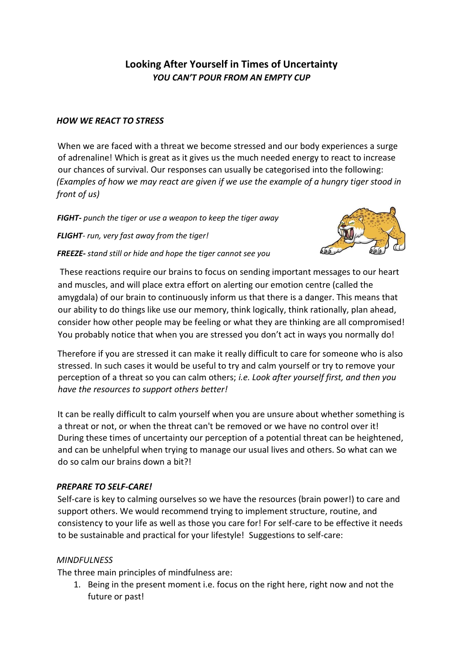# **Looking After Yourself in Times of Uncertainty**  *YOU CAN'T POUR FROM AN EMPTY CUP*

#### *HOW WE REACT TO STRESS*

When we are faced with a threat we become stressed and our body experiences a surge of adrenaline! Which is great as it gives us the much needed energy to react to increase our chances of survival. Our responses can usually be categorised into the following: *(Examples of how we may react are given if we use the example of a hungry tiger stood in front of us)*

*FIGHT- punch the tiger or use a weapon to keep the tiger away*

*FLIGHT- run, very fast away from the tiger!*

*FREEZE- stand still or hide and hope the tiger cannot see you* 



These reactions require our brains to focus on sending important messages to our heart and muscles, and will place extra effort on alerting our emotion centre (called the amygdala) of our brain to continuously inform us that there is a danger. This means that our ability to do things like use our memory, think logically, think rationally, plan ahead, consider how other people may be feeling or what they are thinking are all compromised! You probably notice that when you are stressed you don't act in ways you normally do!

Therefore if you are stressed it can make it really difficult to care for someone who is also stressed. In such cases it would be useful to try and calm yourself or try to remove your perception of a threat so you can calm others; *i.e. Look after yourself first, and then you have the resources to support others better!* 

It can be really difficult to calm yourself when you are unsure about whether something is a threat or not, or when the threat can't be removed or we have no control over it! During these times of uncertainty our perception of a potential threat can be heightened, and can be unhelpful when trying to manage our usual lives and others. So what can we do so calm our brains down a bit?!

#### *PREPARE TO SELF-CARE!*

Self-care is key to calming ourselves so we have the resources (brain power!) to care and support others. We would recommend trying to implement structure, routine, and consistency to your life as well as those you care for! For self-care to be effective it needs to be sustainable and practical for your lifestyle! Suggestions to self-care:

#### *MINDFULNESS*

The three main principles of mindfulness are:

1. Being in the present moment i.e. focus on the right here, right now and not the future or past!